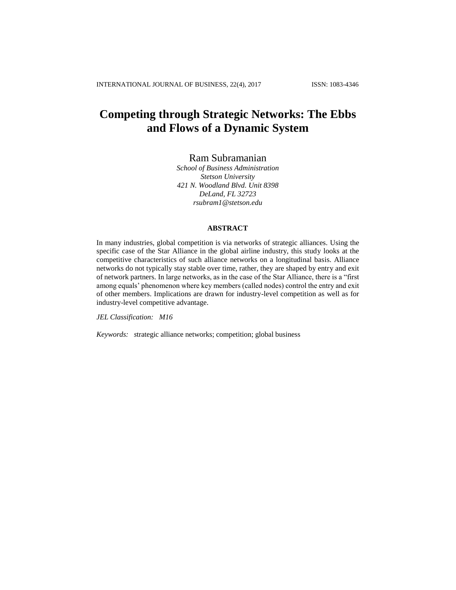# **Competing through Strategic Networks: The Ebbs and Flows of a Dynamic System**

# Ram Subramanian

*School of Business Administration Stetson University 421 N. Woodland Blvd. Unit 8398 DeLand, FL 32723 [rsubram1@stetson.edu](mailto:rsubram1@stetson.edu)*

# **ABSTRACT**

In many industries, global competition is via networks of strategic alliances. Using the specific case of the Star Alliance in the global airline industry, this study looks at the competitive characteristics of such alliance networks on a longitudinal basis. Alliance networks do not typically stay stable over time, rather, they are shaped by entry and exit of network partners. In large networks, as in the case of the Star Alliance, there is a "first among equals' phenomenon where key members (called nodes) control the entry and exit of other members. Implications are drawn for industry-level competition as well as for industry-level competitive advantage.

*JEL Classification: M16*

*Keywords: s*trategic alliance networks; competition; global business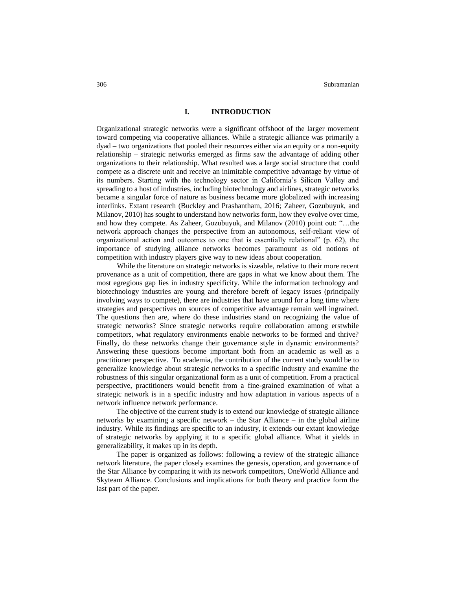#### **I. INTRODUCTION**

Organizational strategic networks were a significant offshoot of the larger movement toward competing via cooperative alliances. While a strategic alliance was primarily a dyad – two organizations that pooled their resources either via an equity or a non-equity relationship – strategic networks emerged as firms saw the advantage of adding other organizations to their relationship. What resulted was a large social structure that could compete as a discrete unit and receive an inimitable competitive advantage by virtue of its numbers. Starting with the technology sector in California's Silicon Valley and spreading to a host of industries, including biotechnology and airlines, strategic networks became a singular force of nature as business became more globalized with increasing interlinks. Extant research (Buckley and Prashantham, 2016; Zaheer, Gozubuyuk, and Milanov, 2010) has sought to understand how networks form, how they evolve over time, and how they compete. As Zaheer, Gozubuyuk, and Milanov (2010) point out: "…the network approach changes the perspective from an autonomous, self-reliant view of organizational action and outcomes to one that is essentially relational" (p. 62), the importance of studying alliance networks becomes paramount as old notions of competition with industry players give way to new ideas about cooperation.

While the literature on strategic networks is sizeable, relative to their more recent provenance as a unit of competition, there are gaps in what we know about them. The most egregious gap lies in industry specificity. While the information technology and biotechnology industries are young and therefore bereft of legacy issues (principally involving ways to compete), there are industries that have around for a long time where strategies and perspectives on sources of competitive advantage remain well ingrained. The questions then are, where do these industries stand on recognizing the value of strategic networks? Since strategic networks require collaboration among erstwhile competitors, what regulatory environments enable networks to be formed and thrive? Finally, do these networks change their governance style in dynamic environments? Answering these questions become important both from an academic as well as a practitioner perspective. To academia, the contribution of the current study would be to generalize knowledge about strategic networks to a specific industry and examine the robustness of this singular organizational form as a unit of competition. From a practical perspective, practitioners would benefit from a fine-grained examination of what a strategic network is in a specific industry and how adaptation in various aspects of a network influence network performance.

The objective of the current study is to extend our knowledge of strategic alliance networks by examining a specific network – the Star Alliance – in the global airline industry. While its findings are specific to an industry, it extends our extant knowledge of strategic networks by applying it to a specific global alliance. What it yields in generalizability, it makes up in its depth.

The paper is organized as follows: following a review of the strategic alliance network literature, the paper closely examines the genesis, operation, and governance of the Star Alliance by comparing it with its network competitors, OneWorld Alliance and Skyteam Alliance. Conclusions and implications for both theory and practice form the last part of the paper.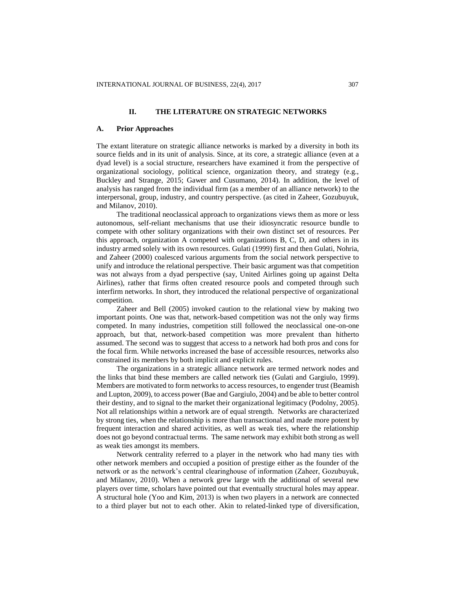#### **II. THE LITERATURE ON STRATEGIC NETWORKS**

#### **A. Prior Approaches**

The extant literature on strategic alliance networks is marked by a diversity in both its source fields and in its unit of analysis. Since, at its core, a strategic alliance (even at a dyad level) is a social structure, researchers have examined it from the perspective of organizational sociology, political science, organization theory, and strategy (e.g., Buckley and Strange, 2015; Gawer and Cusumano, 2014). In addition, the level of analysis has ranged from the individual firm (as a member of an alliance network) to the interpersonal, group, industry, and country perspective. (as cited in Zaheer, Gozubuyuk, and Milanov, 2010).

The traditional neoclassical approach to organizations views them as more or less autonomous, self-reliant mechanisms that use their idiosyncratic resource bundle to compete with other solitary organizations with their own distinct set of resources. Per this approach, organization A competed with organizations B, C, D, and others in its industry armed solely with its own resources. Gulati (1999) first and then Gulati, Nohria, and Zaheer (2000) coalesced various arguments from the social network perspective to unify and introduce the relational perspective. Their basic argument was that competition was not always from a dyad perspective (say, United Airlines going up against Delta Airlines), rather that firms often created resource pools and competed through such interfirm networks. In short, they introduced the relational perspective of organizational competition.

Zaheer and Bell (2005) invoked caution to the relational view by making two important points. One was that, network-based competition was not the only way firms competed. In many industries, competition still followed the neoclassical one-on-one approach, but that, network-based competition was more prevalent than hitherto assumed. The second was to suggest that access to a network had both pros and cons for the focal firm. While networks increased the base of accessible resources, networks also constrained its members by both implicit and explicit rules.

The organizations in a strategic alliance network are termed network nodes and the links that bind these members are called network ties (Gulati and Gargiulo, 1999). Members are motivated to form networks to access resources, to engender trust (Beamish and Lupton, 2009), to access power (Bae and Gargiulo, 2004) and be able to better control their destiny, and to signal to the market their organizational legitimacy (Podolny, 2005). Not all relationships within a network are of equal strength. Networks are characterized by strong ties, when the relationship is more than transactional and made more potent by frequent interaction and shared activities, as well as weak ties, where the relationship does not go beyond contractual terms. The same network may exhibit both strong as well as weak ties amongst its members.

Network centrality referred to a player in the network who had many ties with other network members and occupied a position of prestige either as the founder of the network or as the network's central clearinghouse of information (Zaheer, Gozubuyuk, and Milanov, 2010). When a network grew large with the additional of several new players over time, scholars have pointed out that eventually structural holes may appear. A structural hole (Yoo and Kim, 2013) is when two players in a network are connected to a third player but not to each other. Akin to related-linked type of diversification,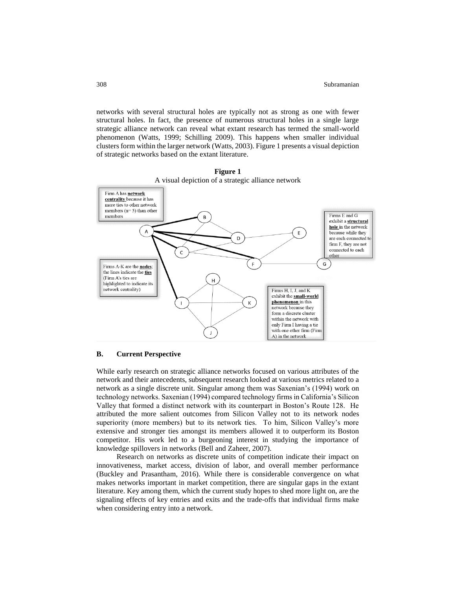networks with several structural holes are typically not as strong as one with fewer structural holes. In fact, the presence of numerous structural holes in a single large strategic alliance network can reveal what extant research has termed the small-world phenomenon (Watts, 1999; Schilling 2009). This happens when smaller individual clusters form within the larger network (Watts, 2003). Figure 1 presents a visual depiction of strategic networks based on the extant literature.





### **B. Current Perspective**

While early research on strategic alliance networks focused on various attributes of the network and their antecedents, subsequent research looked at various metrics related to a network as a single discrete unit. Singular among them was Saxenian's (1994) work on technology networks. Saxenian (1994) compared technology firms in California's Silicon Valley that formed a distinct network with its counterpart in Boston's Route 128. He attributed the more salient outcomes from Silicon Valley not to its network nodes superiority (more members) but to its network ties. To him, Silicon Valley's more extensive and stronger ties amongst its members allowed it to outperform its Boston competitor. His work led to a burgeoning interest in studying the importance of knowledge spillovers in networks (Bell and Zaheer, 2007).

Research on networks as discrete units of competition indicate their impact on innovativeness, market access, division of labor, and overall member performance (Buckley and Prasantham, 2016). While there is considerable convergence on what makes networks important in market competition, there are singular gaps in the extant literature. Key among them, which the current study hopes to shed more light on, are the signaling effects of key entries and exits and the trade-offs that individual firms make when considering entry into a network.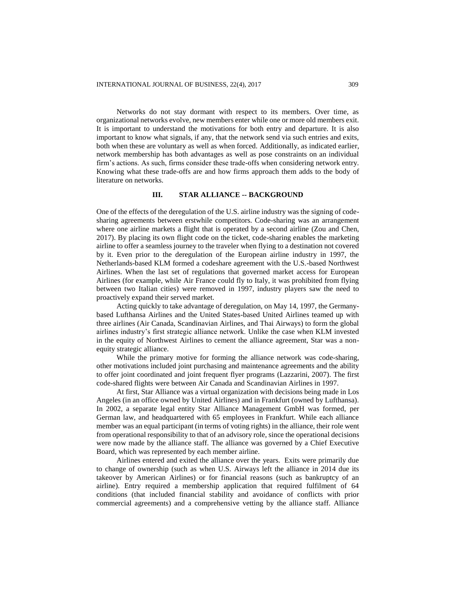Networks do not stay dormant with respect to its members. Over time, as organizational networks evolve, new members enter while one or more old members exit. It is important to understand the motivations for both entry and departure. It is also important to know what signals, if any, that the network send via such entries and exits, both when these are voluntary as well as when forced. Additionally, as indicated earlier, network membership has both advantages as well as pose constraints on an individual firm's actions. As such, firms consider these trade-offs when considering network entry. Knowing what these trade-offs are and how firms approach them adds to the body of literature on networks.

#### **III. STAR ALLIANCE -- BACKGROUND**

One of the effects of the deregulation of the U.S. airline industry was the signing of codesharing agreements between erstwhile competitors. Code-sharing was an arrangement where one airline markets a flight that is operated by a second airline (Zou and Chen, 2017). By placing its own flight code on the ticket, code-sharing enables the marketing airline to offer a seamless journey to the traveler when flying to a destination not covered by it. Even prior to the deregulation of the European airline industry in 1997, the Netherlands-based KLM formed a codeshare agreement with the U.S.-based Northwest Airlines. When the last set of regulations that governed market access for European Airlines (for example, while Air France could fly to Italy, it was prohibited from flying between two Italian cities) were removed in 1997, industry players saw the need to proactively expand their served market.

Acting quickly to take advantage of deregulation, on May 14, 1997, the Germanybased Lufthansa Airlines and the United States-based United Airlines teamed up with three airlines (Air Canada, Scandinavian Airlines, and Thai Airways) to form the global airlines industry's first strategic alliance network. Unlike the case when KLM invested in the equity of Northwest Airlines to cement the alliance agreement, Star was a nonequity strategic alliance.

While the primary motive for forming the alliance network was code-sharing, other motivations included joint purchasing and maintenance agreements and the ability to offer joint coordinated and joint frequent flyer programs (Lazzarini, 2007). The first code-shared flights were between Air Canada and Scandinavian Airlines in 1997.

At first, Star Alliance was a virtual organization with decisions being made in Los Angeles (in an office owned by United Airlines) and in Frankfurt (owned by Lufthansa). In 2002, a separate legal entity Star Alliance Management GmbH was formed, per German law, and headquartered with 65 employees in Frankfurt. While each alliance member was an equal participant (in terms of voting rights) in the alliance, their role went from operational responsibility to that of an advisory role, since the operational decisions were now made by the alliance staff. The alliance was governed by a Chief Executive Board, which was represented by each member airline.

Airlines entered and exited the alliance over the years. Exits were primarily due to change of ownership (such as when U.S. Airways left the alliance in 2014 due its takeover by American Airlines) or for financial reasons (such as bankruptcy of an airline). Entry required a membership application that required fulfilment of 64 conditions (that included financial stability and avoidance of conflicts with prior commercial agreements) and a comprehensive vetting by the alliance staff. Alliance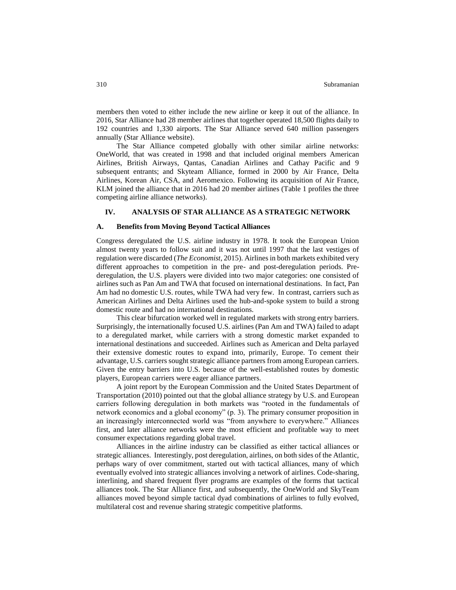members then voted to either include the new airline or keep it out of the alliance. In 2016, Star Alliance had 28 member airlines that together operated 18,500 flights daily to 192 countries and 1,330 airports. The Star Alliance served 640 million passengers annually (Star Alliance website).

The Star Alliance competed globally with other similar airline networks: OneWorld, that was created in 1998 and that included original members American Airlines, British Airways, Qantas, Canadian Airlines and Cathay Pacific and 9 subsequent entrants; and Skyteam Alliance, formed in 2000 by Air France, Delta Airlines, Korean Air, CSA, and Aeromexico. Following its acquisition of Air France, KLM joined the alliance that in 2016 had 20 member airlines (Table 1 profiles the three competing airline alliance networks).

#### **IV. ANALYSIS OF STAR ALLIANCE AS A STRATEGIC NETWORK**

#### **A. Benefits from Moving Beyond Tactical Alliances**

Congress deregulated the U.S. airline industry in 1978. It took the European Union almost twenty years to follow suit and it was not until 1997 that the last vestiges of regulation were discarded (*The Economist*, 2015). Airlines in both markets exhibited very different approaches to competition in the pre- and post-deregulation periods. Prederegulation, the U.S. players were divided into two major categories: one consisted of airlines such as Pan Am and TWA that focused on international destinations. In fact, Pan Am had no domestic U.S. routes, while TWA had very few. In contrast, carriers such as American Airlines and Delta Airlines used the hub-and-spoke system to build a strong domestic route and had no international destinations.

This clear bifurcation worked well in regulated markets with strong entry barriers. Surprisingly, the internationally focused U.S. airlines (Pan Am and TWA) failed to adapt to a deregulated market, while carriers with a strong domestic market expanded to international destinations and succeeded. Airlines such as American and Delta parlayed their extensive domestic routes to expand into, primarily, Europe. To cement their advantage, U.S. carriers sought strategic alliance partners from among European carriers. Given the entry barriers into U.S. because of the well-established routes by domestic players, European carriers were eager alliance partners.

A joint report by the European Commission and the United States Department of Transportation (2010) pointed out that the global alliance strategy by U.S. and European carriers following deregulation in both markets was "rooted in the fundamentals of network economics and a global economy" (p. 3). The primary consumer proposition in an increasingly interconnected world was "from anywhere to everywhere." Alliances first, and later alliance networks were the most efficient and profitable way to meet consumer expectations regarding global travel.

Alliances in the airline industry can be classified as either tactical alliances or strategic alliances. Interestingly, post deregulation, airlines, on both sides of the Atlantic, perhaps wary of over commitment, started out with tactical alliances, many of which eventually evolved into strategic alliances involving a network of airlines. Code-sharing, interlining, and shared frequent flyer programs are examples of the forms that tactical alliances took. The Star Alliance first, and subsequently, the OneWorld and SkyTeam alliances moved beyond simple tactical dyad combinations of airlines to fully evolved, multilateral cost and revenue sharing strategic competitive platforms.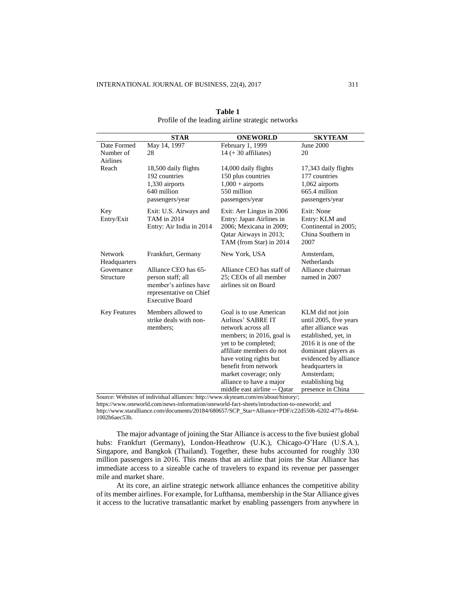|                         | <b>STAR</b>                                       | <b>ONEWORLD</b>                                | <b>SKYTEAM</b>                           |
|-------------------------|---------------------------------------------------|------------------------------------------------|------------------------------------------|
| Date Formed             | May 14, 1997                                      | February 1, 1999                               | June 2000                                |
| Number of               | 28                                                | $14 (+ 30$ affiliates)                         | 20                                       |
| <b>Airlines</b>         |                                                   |                                                |                                          |
| Reach                   | 18,500 daily flights                              | 14,000 daily flights                           | 17,343 daily flights                     |
|                         | 192 countries                                     | 150 plus countries                             | 177 countries                            |
|                         | 1,330 airports                                    | $1,000 +$ airports                             | 1,062 airports                           |
|                         | 640 million                                       | 550 million                                    | $665.4$ million                          |
|                         | passengers/year                                   | passengers/year                                | passengers/year                          |
| Key                     | Exit: U.S. Airways and                            | Exit: Aer Lingus in 2006                       | Exit: None                               |
| Entry/Exit              | TAM in 2014                                       | Entry: Japan Airlines in                       | Entry: KLM and                           |
|                         | Entry: Air India in 2014                          | 2006; Mexicana in 2009;                        | Continental in 2005;                     |
|                         |                                                   | Qatar Airways in 2013;                         | China Southern in                        |
|                         |                                                   | TAM (from Star) in 2014                        | 2007                                     |
| Network<br>Headquarters | Frankfurt, Germany                                | New York, USA                                  | Amsterdam,<br>Netherlands                |
| Governance              | Alliance CEO has 65-                              | Alliance CEO has staff of                      | Alliance chairman                        |
| Structure               | person staff; all                                 | 25; CEOs of all member                         | named in 2007                            |
|                         | member's airlines have                            | airlines sit on Board                          |                                          |
|                         | representative on Chief<br><b>Executive Board</b> |                                                |                                          |
|                         |                                                   |                                                |                                          |
| <b>Key Features</b>     | Members allowed to                                | Goal is to use American                        | KLM did not join                         |
|                         | strike deals with non-                            | Airlines' SABRE IT                             | until 2005, five years                   |
|                         | members;                                          | network across all                             | after alliance was                       |
|                         |                                                   | members; in 2016, goal is                      | established, yet, in                     |
|                         |                                                   | yet to be completed;                           | 2016 it is one of the                    |
|                         |                                                   | affiliate members do not                       | dominant players as                      |
|                         |                                                   | have voting rights but<br>benefit from network | evidenced by alliance<br>headquarters in |
|                         |                                                   | market coverage; only                          | Amsterdam:                               |
|                         |                                                   | alliance to have a major                       | establishing big                         |
|                         |                                                   | middle east airline -- Oatar                   | presence in China                        |

| Table 1                                           |
|---------------------------------------------------|
| Profile of the leading airline strategic networks |

Source: Websites of individual alliances[: http://www.skyteam.com/en/about/history/;](http://www.skyteam.com/en/about/history/)

[https://www.oneworld.com/news-information/oneworld-fact-sheets/introduction-to-oneworld;](https://www.oneworld.com/news-information/oneworld-fact-sheets/introduction-to-oneworld) and [http://www.staralliance.com/documents/20184/680657/SCP\\_Star+Alliance+PDF/c22d550b-6202-477a-8b94-](http://www.staralliance.com/documents/20184/680657/SCP_Star+Alliance+PDF/c22d550b-6202-477a-8b94-1002b6aec53b) [1002b6aec53b.](http://www.staralliance.com/documents/20184/680657/SCP_Star+Alliance+PDF/c22d550b-6202-477a-8b94-1002b6aec53b)

The major advantage of joining the Star Alliance is access to the five busiest global hubs: Frankfurt (Germany), London-Heathrow (U.K.), Chicago-O'Hare (U.S.A.), Singapore, and Bangkok (Thailand). Together, these hubs accounted for roughly 330 million passengers in 2016. This means that an airline that joins the Star Alliance has immediate access to a sizeable cache of travelers to expand its revenue per passenger mile and market share.

At its core, an airline strategic network alliance enhances the competitive ability of its member airlines. For example, for Lufthansa, membership in the Star Alliance gives it access to the lucrative transatlantic market by enabling passengers from anywhere in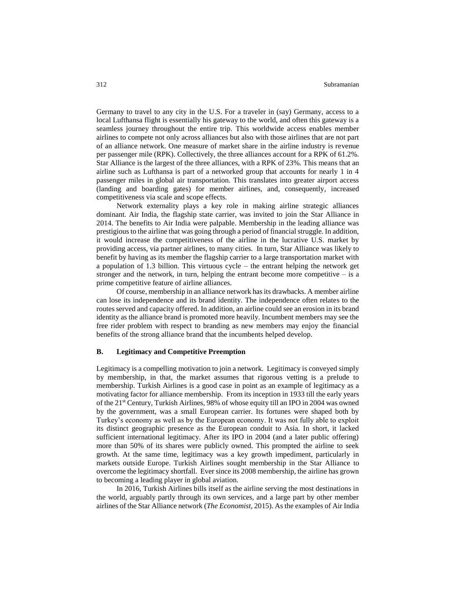Germany to travel to any city in the U.S. For a traveler in (say) Germany, access to a local Lufthansa flight is essentially his gateway to the world, and often this gateway is a seamless journey throughout the entire trip. This worldwide access enables member airlines to compete not only across alliances but also with those airlines that are not part of an alliance network. One measure of market share in the airline industry is revenue per passenger mile (RPK). Collectively, the three alliances account for a RPK of 61.2%. Star Alliance is the largest of the three alliances, with a RPK of 23%. This means that an airline such as Lufthansa is part of a networked group that accounts for nearly 1 in 4 passenger miles in global air transportation. This translates into greater airport access (landing and boarding gates) for member airlines, and, consequently, increased competitiveness via scale and scope effects.

Network externality plays a key role in making airline strategic alliances dominant. Air India, the flagship state carrier, was invited to join the Star Alliance in 2014. The benefits to Air India were palpable. Membership in the leading alliance was prestigious to the airline that was going through a period of financial struggle. In addition, it would increase the competitiveness of the airline in the lucrative U.S. market by providing access, via partner airlines, to many cities. In turn, Star Alliance was likely to benefit by having as its member the flagship carrier to a large transportation market with a population of 1.3 billion. This virtuous cycle – the entrant helping the network get stronger and the network, in turn, helping the entrant become more competitive  $-$  is a prime competitive feature of airline alliances.

Of course, membership in an alliance network has its drawbacks. A member airline can lose its independence and its brand identity. The independence often relates to the routes served and capacity offered. In addition, an airline could see an erosion in its brand identity as the alliance brand is promoted more heavily. Incumbent members may see the free rider problem with respect to branding as new members may enjoy the financial benefits of the strong alliance brand that the incumbents helped develop.

# **B. Legitimacy and Competitive Preemption**

Legitimacy is a compelling motivation to join a network. Legitimacy is conveyed simply by membership, in that, the market assumes that rigorous vetting is a prelude to membership. Turkish Airlines is a good case in point as an example of legitimacy as a motivating factor for alliance membership. From its inception in 1933 till the early years of the 21st Century, Turkish Airlines, 98% of whose equity till an IPO in 2004 was owned by the government, was a small European carrier. Its fortunes were shaped both by Turkey's economy as well as by the European economy. It was not fully able to exploit its distinct geographic presence as the European conduit to Asia. In short, it lacked sufficient international legitimacy. After its IPO in 2004 (and a later public offering) more than 50% of its shares were publicly owned. This prompted the airline to seek growth. At the same time, legitimacy was a key growth impediment, particularly in markets outside Europe. Turkish Airlines sought membership in the Star Alliance to overcome the legitimacy shortfall. Ever since its 2008 membership, the airline has grown to becoming a leading player in global aviation.

In 2016, Turkish Airlines bills itself as the airline serving the most destinations in the world, arguably partly through its own services, and a large part by other member airlines of the Star Alliance network (*The Economist*, 2015). As the examples of Air India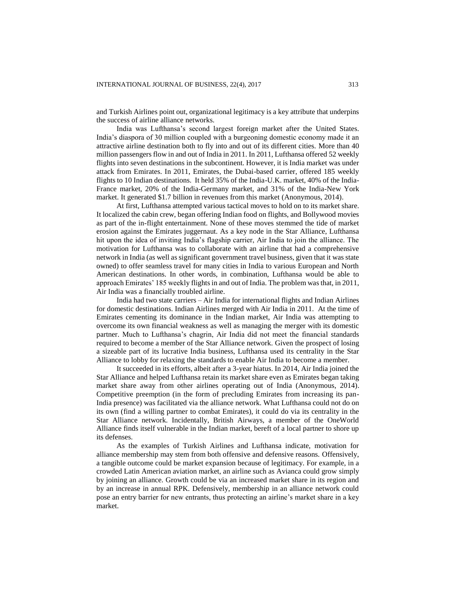and Turkish Airlines point out, organizational legitimacy is a key attribute that underpins the success of airline alliance networks.

India was Lufthansa's second largest foreign market after the United States. India's diaspora of 30 million coupled with a burgeoning domestic economy made it an attractive airline destination both to fly into and out of its different cities. More than 40 million passengers flow in and out of India in 2011. In 2011, Lufthansa offered 52 weekly flights into seven destinations in the subcontinent. However, it is India market was under attack from Emirates. In 2011, Emirates, the Dubai-based carrier, offered 185 weekly flights to 10 Indian destinations. It held 35% of the India-U.K. market, 40% of the India-France market, 20% of the India-Germany market, and 31% of the India-New York market. It generated \$1.7 billion in revenues from this market (Anonymous, 2014).

At first, Lufthansa attempted various tactical moves to hold on to its market share. It localized the cabin crew, began offering Indian food on flights, and Bollywood movies as part of the in-flight entertainment. None of these moves stemmed the tide of market erosion against the Emirates juggernaut. As a key node in the Star Alliance, Lufthansa hit upon the idea of inviting India's flagship carrier, Air India to join the alliance. The motivation for Lufthansa was to collaborate with an airline that had a comprehensive network in India (as well as significant government travel business, given that it was state owned) to offer seamless travel for many cities in India to various European and North American destinations. In other words, in combination, Lufthansa would be able to approach Emirates' 185 weekly flights in and out of India. The problem was that, in 2011, Air India was a financially troubled airline.

India had two state carriers – Air India for international flights and Indian Airlines for domestic destinations. Indian Airlines merged with Air India in 2011. At the time of Emirates cementing its dominance in the Indian market, Air India was attempting to overcome its own financial weakness as well as managing the merger with its domestic partner. Much to Lufthansa's chagrin, Air India did not meet the financial standards required to become a member of the Star Alliance network. Given the prospect of losing a sizeable part of its lucrative India business, Lufthansa used its centrality in the Star Alliance to lobby for relaxing the standards to enable Air India to become a member.

It succeeded in its efforts, albeit after a 3-year hiatus. In 2014, Air India joined the Star Alliance and helped Lufthansa retain its market share even as Emirates began taking market share away from other airlines operating out of India (Anonymous, 2014). Competitive preemption (in the form of precluding Emirates from increasing its pan-India presence) was facilitated via the alliance network. What Lufthansa could not do on its own (find a willing partner to combat Emirates), it could do via its centrality in the Star Alliance network. Incidentally, British Airways, a member of the OneWorld Alliance finds itself vulnerable in the Indian market, bereft of a local partner to shore up its defenses.

As the examples of Turkish Airlines and Lufthansa indicate, motivation for alliance membership may stem from both offensive and defensive reasons. Offensively, a tangible outcome could be market expansion because of legitimacy. For example, in a crowded Latin American aviation market, an airline such as Avianca could grow simply by joining an alliance. Growth could be via an increased market share in its region and by an increase in annual RPK. Defensively, membership in an alliance network could pose an entry barrier for new entrants, thus protecting an airline's market share in a key market.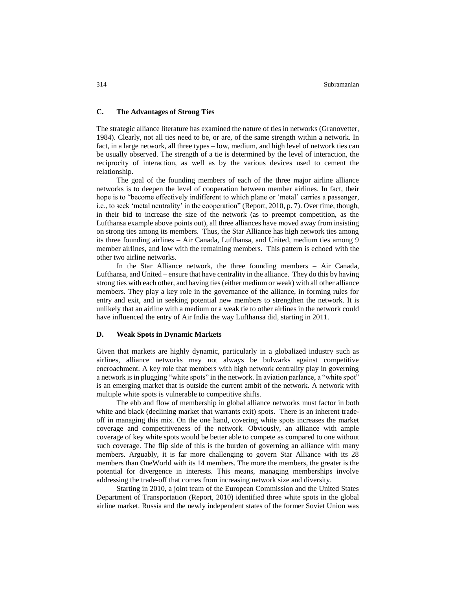# **C. The Advantages of Strong Ties**

The strategic alliance literature has examined the nature of ties in networks (Granovetter, 1984). Clearly, not all ties need to be, or are, of the same strength within a network. In fact, in a large network, all three types – low, medium, and high level of network ties can be usually observed. The strength of a tie is determined by the level of interaction, the reciprocity of interaction, as well as by the various devices used to cement the relationship.

The goal of the founding members of each of the three major airline alliance networks is to deepen the level of cooperation between member airlines. In fact, their hope is to "become effectively indifferent to which plane or 'metal' carries a passenger, i.e., to seek 'metal neutrality' in the cooperation" (Report, 2010, p. 7). Over time, though, in their bid to increase the size of the network (as to preempt competition, as the Lufthansa example above points out), all three alliances have moved away from insisting on strong ties among its members. Thus, the Star Alliance has high network ties among its three founding airlines – Air Canada, Lufthansa, and United, medium ties among 9 member airlines, and low with the remaining members. This pattern is echoed with the other two airline networks.

In the Star Alliance network, the three founding members – Air Canada, Lufthansa, and United – ensure that have centrality in the alliance. They do this by having strong ties with each other, and having ties (either medium or weak) with all other alliance members. They play a key role in the governance of the alliance, in forming rules for entry and exit, and in seeking potential new members to strengthen the network. It is unlikely that an airline with a medium or a weak tie to other airlines in the network could have influenced the entry of Air India the way Lufthansa did, starting in 2011.

# **D. Weak Spots in Dynamic Markets**

Given that markets are highly dynamic, particularly in a globalized industry such as airlines, alliance networks may not always be bulwarks against competitive encroachment. A key role that members with high network centrality play in governing a network is in plugging "white spots" in the network. In aviation parlance, a "white spot" is an emerging market that is outside the current ambit of the network. A network with multiple white spots is vulnerable to competitive shifts.

The ebb and flow of membership in global alliance networks must factor in both white and black (declining market that warrants exit) spots. There is an inherent tradeoff in managing this mix. On the one hand, covering white spots increases the market coverage and competitiveness of the network. Obviously, an alliance with ample coverage of key white spots would be better able to compete as compared to one without such coverage. The flip side of this is the burden of governing an alliance with many members. Arguably, it is far more challenging to govern Star Alliance with its 28 members than OneWorld with its 14 members. The more the members, the greater is the potential for divergence in interests. This means, managing memberships involve addressing the trade-off that comes from increasing network size and diversity.

Starting in 2010, a joint team of the European Commission and the United States Department of Transportation (Report, 2010) identified three white spots in the global airline market. Russia and the newly independent states of the former Soviet Union was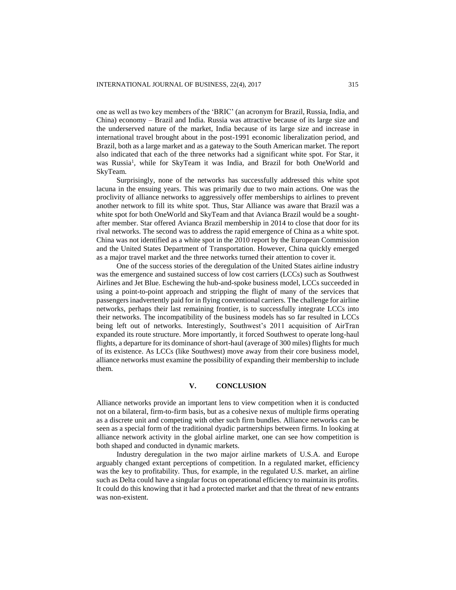one as well as two key members of the 'BRIC' (an acronym for Brazil, Russia, India, and China) economy – Brazil and India. Russia was attractive because of its large size and the underserved nature of the market, India because of its large size and increase in international travel brought about in the post-1991 economic liberalization period, and Brazil, both as a large market and as a gateway to the South American market. The report also indicated that each of the three networks had a significant white spot. For Star, it was Russia<sup>1</sup>, while for SkyTeam it was India, and Brazil for both OneWorld and SkyTeam.

Surprisingly, none of the networks has successfully addressed this white spot lacuna in the ensuing years. This was primarily due to two main actions. One was the proclivity of alliance networks to aggressively offer memberships to airlines to prevent another network to fill its white spot. Thus, Star Alliance was aware that Brazil was a white spot for both OneWorld and SkyTeam and that Avianca Brazil would be a soughtafter member. Star offered Avianca Brazil membership in 2014 to close that door for its rival networks. The second was to address the rapid emergence of China as a white spot. China was not identified as a white spot in the 2010 report by the European Commission and the United States Department of Transportation. However, China quickly emerged as a major travel market and the three networks turned their attention to cover it.

One of the success stories of the deregulation of the United States airline industry was the emergence and sustained success of low cost carriers (LCCs) such as Southwest Airlines and Jet Blue. Eschewing the hub-and-spoke business model, LCCs succeeded in using a point-to-point approach and stripping the flight of many of the services that passengers inadvertently paid for in flying conventional carriers. The challenge for airline networks, perhaps their last remaining frontier, is to successfully integrate LCCs into their networks. The incompatibility of the business models has so far resulted in LCCs being left out of networks. Interestingly, Southwest's 2011 acquisition of AirTran expanded its route structure. More importantly, it forced Southwest to operate long-haul flights, a departure for its dominance of short-haul (average of 300 miles) flights for much of its existence. As LCCs (like Southwest) move away from their core business model, alliance networks must examine the possibility of expanding their membership to include them.

# **V. CONCLUSION**

Alliance networks provide an important lens to view competition when it is conducted not on a bilateral, firm-to-firm basis, but as a cohesive nexus of multiple firms operating as a discrete unit and competing with other such firm bundles. Alliance networks can be seen as a special form of the traditional dyadic partnerships between firms. In looking at alliance network activity in the global airline market, one can see how competition is both shaped and conducted in dynamic markets.

Industry deregulation in the two major airline markets of U.S.A. and Europe arguably changed extant perceptions of competition. In a regulated market, efficiency was the key to profitability. Thus, for example, in the regulated U.S. market, an airline such as Delta could have a singular focus on operational efficiency to maintain its profits. It could do this knowing that it had a protected market and that the threat of new entrants was non-existent.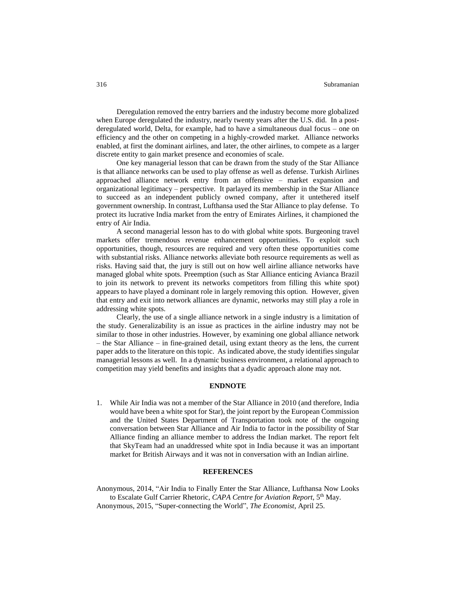#### 316 Subramanian

Deregulation removed the entry barriers and the industry become more globalized when Europe deregulated the industry, nearly twenty years after the U.S. did. In a postderegulated world, Delta, for example, had to have a simultaneous dual focus – one on efficiency and the other on competing in a highly-crowded market. Alliance networks enabled, at first the dominant airlines, and later, the other airlines, to compete as a larger discrete entity to gain market presence and economies of scale.

One key managerial lesson that can be drawn from the study of the Star Alliance is that alliance networks can be used to play offense as well as defense. Turkish Airlines approached alliance network entry from an offensive – market expansion and organizational legitimacy – perspective. It parlayed its membership in the Star Alliance to succeed as an independent publicly owned company, after it untethered itself government ownership. In contrast, Lufthansa used the Star Alliance to play defense. To protect its lucrative India market from the entry of Emirates Airlines, it championed the entry of Air India.

A second managerial lesson has to do with global white spots. Burgeoning travel markets offer tremendous revenue enhancement opportunities. To exploit such opportunities, though, resources are required and very often these opportunities come with substantial risks. Alliance networks alleviate both resource requirements as well as risks. Having said that, the jury is still out on how well airline alliance networks have managed global white spots. Preemption (such as Star Alliance enticing Avianca Brazil to join its network to prevent its networks competitors from filling this white spot) appears to have played a dominant role in largely removing this option. However, given that entry and exit into network alliances are dynamic, networks may still play a role in addressing white spots.

Clearly, the use of a single alliance network in a single industry is a limitation of the study. Generalizability is an issue as practices in the airline industry may not be similar to those in other industries. However, by examining one global alliance network – the Star Alliance – in fine-grained detail, using extant theory as the lens, the current paper adds to the literature on this topic. As indicated above, the study identifies singular managerial lessons as well. In a dynamic business environment, a relational approach to competition may yield benefits and insights that a dyadic approach alone may not.

# **ENDNOTE**

1. While Air India was not a member of the Star Alliance in 2010 (and therefore, India would have been a white spot for Star), the joint report by the European Commission and the United States Department of Transportation took note of the ongoing conversation between Star Alliance and Air India to factor in the possibility of Star Alliance finding an alliance member to address the Indian market. The report felt that SkyTeam had an unaddressed white spot in India because it was an important market for British Airways and it was not in conversation with an Indian airline.

#### **REFERENCES**

Anonymous, 2014, "Air India to Finally Enter the Star Alliance, Lufthansa Now Looks to Escalate Gulf Carrier Rhetoric, *CAPA Centre for Aviation Report*, 5<sup>th</sup> May. Anonymous, 2015, "Super-connecting the World", *The Economist*, April 25.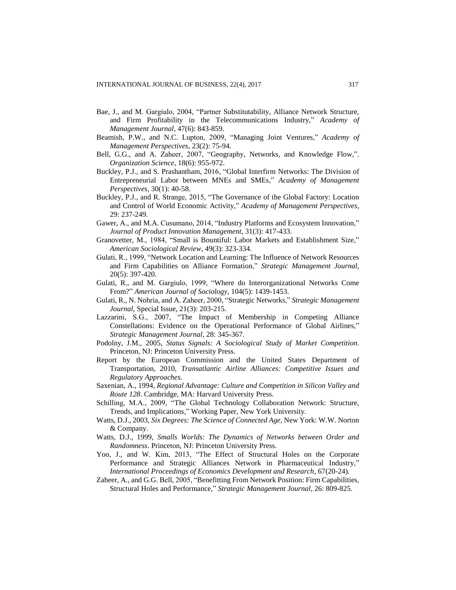- Bae, J., and M. Gargiulo, 2004, "Partner Substitutability, Alliance Network Structure, and Firm Profitability in the Telecommunications Industry," *Academy of Management Journal*, 47(6): 843-859.
- Beamish, P.W., and N.C. Lupton, 2009, "Managing Joint Ventures," *Academy of Management Perspectives*, 23(2): 75-94.
- Bell, G.G., and A. Zaheer, 2007, "Geography, Networks, and Knowledge Flow,". *Organization Science*, 18(6): 955-972.
- Buckley, P.J., and S. Prashantham, 2016, "Global Interfirm Networks: The Division of Entrepreneurial Labor between MNEs and SMEs," *Academy of Management Perspectives*, 30(1): 40-58.
- Buckley, P.J., and R. Strange, 2015, "The Governance of the Global Factory: Location and Control of World Economic Activity," *Academy of Management Perspectives*, 29: 237-249.
- Gawer, A., and M.A. Cusumano, 2014, "Industry Platforms and Ecosystem Innovation," *Journal of Product Innovation Management*, 31(3): 417-433.
- Granovetter, M., 1984, "Small is Bountiful: Labor Markets and Establishment Size," *American Sociological Review*, 49(3): 323-334.
- Gulati, R., 1999, "Network Location and Learning: The Influence of Network Resources and Firm Capabilities on Alliance Formation," *Strategic Management Journal*, 20(5): 397-420.
- Gulati, R., and M. Gargiulo, 1999, "Where do Interorganizational Networks Come From?" *American Journal of Sociology*, 104(5): 1439-1453.
- Gulati, R., N. Nohria, and A. Zaheer, 2000, "Strategic Networks," *Strategic Management Journal*, Special Issue, 21(3): 203-215.
- Lazzarini, S.G., 2007, "The Impact of Membership in Competing Alliance Constellations: Evidence on the Operational Performance of Global Airlines," *Strategic Management Journal*, 28: 345-367.
- Podolny, J.M., 2005, *Status Signals: A Sociological Study of Market Competition*. Princeton, NJ: Princeton University Press.
- Report by the European Commission and the United States Department of Transportation, 2010, *Transatlantic Airline Alliances: Competitive Issues and Regulatory Approaches*.
- Saxenian, A., 1994, *Regional Advantage: Culture and Competition in Silicon Valley and Route 128*. Cambridge, MA: Harvard University Press.
- Schilling, M.A., 2009, "The Global Technology Collaboration Network: Structure, Trends, and Implications," Working Paper, New York University.
- Watts, D.J., 2003, *Six Degrees: The Science of Connected Age*, New York: W.W. Norton & Company.
- Watts, D.J., 1999, *Smalls Worlds: The Dynamics of Networks between Order and Randomness*. Princeton, NJ: Princeton University Press.
- Yoo, J., and W. Kim, 2013, "The Effect of Structural Holes on the Corporate Performance and Strategic Alliances Network in Pharmaceutical Industry," *International Proceedings of Economics Development and Research*, 67(20-24).
- Zaheer, A., and G.G. Bell, 2005, "Benefitting From Network Position: Firm Capabilities, Structural Holes and Performance," *Strategic Management Journal*, 26: 809-825.